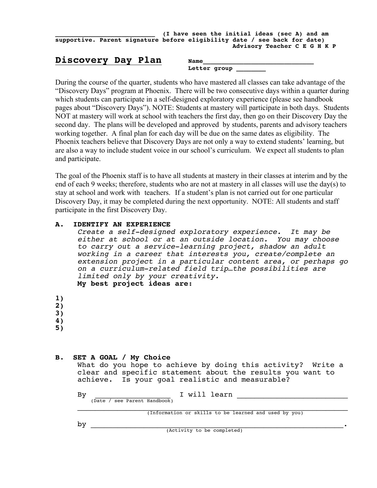|                                                                           |  |  | (I have seen the initial ideas (sec A) and am |                              |  |
|---------------------------------------------------------------------------|--|--|-----------------------------------------------|------------------------------|--|
| supportive. Parent signature before eligibility date / see back for date) |  |  |                                               |                              |  |
|                                                                           |  |  |                                               | Advisory Teacher C E G H K P |  |

# Discovery Day Plan Name

| ρr<br>$\overline{\phantom{0}}$<br>$-$ |  |  |
|---------------------------------------|--|--|

During the course of the quarter, students who have mastered all classes can take advantage of the "Discovery Days" program at Phoenix. There will be two consecutive days within a quarter during which students can participate in a self-designed exploratory experience (please see handbook pages about "Discovery Days"). NOTE: Students at mastery will participate in both days. Students NOT at mastery will work at school with teachers the first day, then go on their Discovery Day the second day. The plans will be developed and approved by students, parents and advisory teachers working together. A final plan for each day will be due on the same dates as eligibility. The Phoenix teachers believe that Discovery Days are not only a way to extend students' learning, but are also a way to include student voice in our school's curriculum. We expect all students to plan and participate.

The goal of the Phoenix staff is to have all students at mastery in their classes at interim and by the end of each 9 weeks; therefore, students who are not at mastery in all classes will use the day(s) to stay at school and work with teachers. If a student's plan is not carried out for one particular Discovery Day, it may be completed during the next opportunity. NOTE: All students and staff participate in the first Discovery Day.

## **A. IDENTIFY AN EXPERIENCE**

*Create a self-designed exploratory experience. It may be either at school or at an outside location. You may choose to carry out a service-learning project, shadow an adult working in a career that interests you, create/complete an extension project in a particular content area, or perhaps go on a curriculum-related field trip…the possibilities are limited only by your creativity.* **My best project ideas are: 1) 2) 3) 4) 5)**

### **B. SET A GOAL / My Choice**

What do you hope to achieve by doing this activity? Write a clear and specific statement about the results you want to achieve. Is your goal realistic and measurable? Is your goal realistic and measurable?

By  $\frac{1 \text{ will learn}}{2 \cdot \frac{1}{2}}$  is  $\frac{1}{2}$  in  $\frac{1}{2}$  in  $\frac{1}{2}$  in  $\frac{1}{2}$  in  $\frac{1}{2}$  in  $\frac{1}{2}$  in  $\frac{1}{2}$  in  $\frac{1}{2}$  in  $\frac{1}{2}$  in  $\frac{1}{2}$  in  $\frac{1}{2}$  in  $\frac{1}{2}$  in  $\frac{1}{2}$  in  $\frac{1}{2}$  in  $\frac{1}{2}$ 

\_\_\_\_\_\_\_\_\_\_\_\_\_\_\_\_\_\_\_\_\_\_\_\_\_\_\_\_\_\_\_\_\_\_\_\_\_\_\_\_\_\_\_\_\_\_\_\_\_\_\_\_\_\_\_\_\_\_\_\_\_ (Information or skills to be learned and used by you)

 $\mathbf{by}$ 

(Activity to be completed)